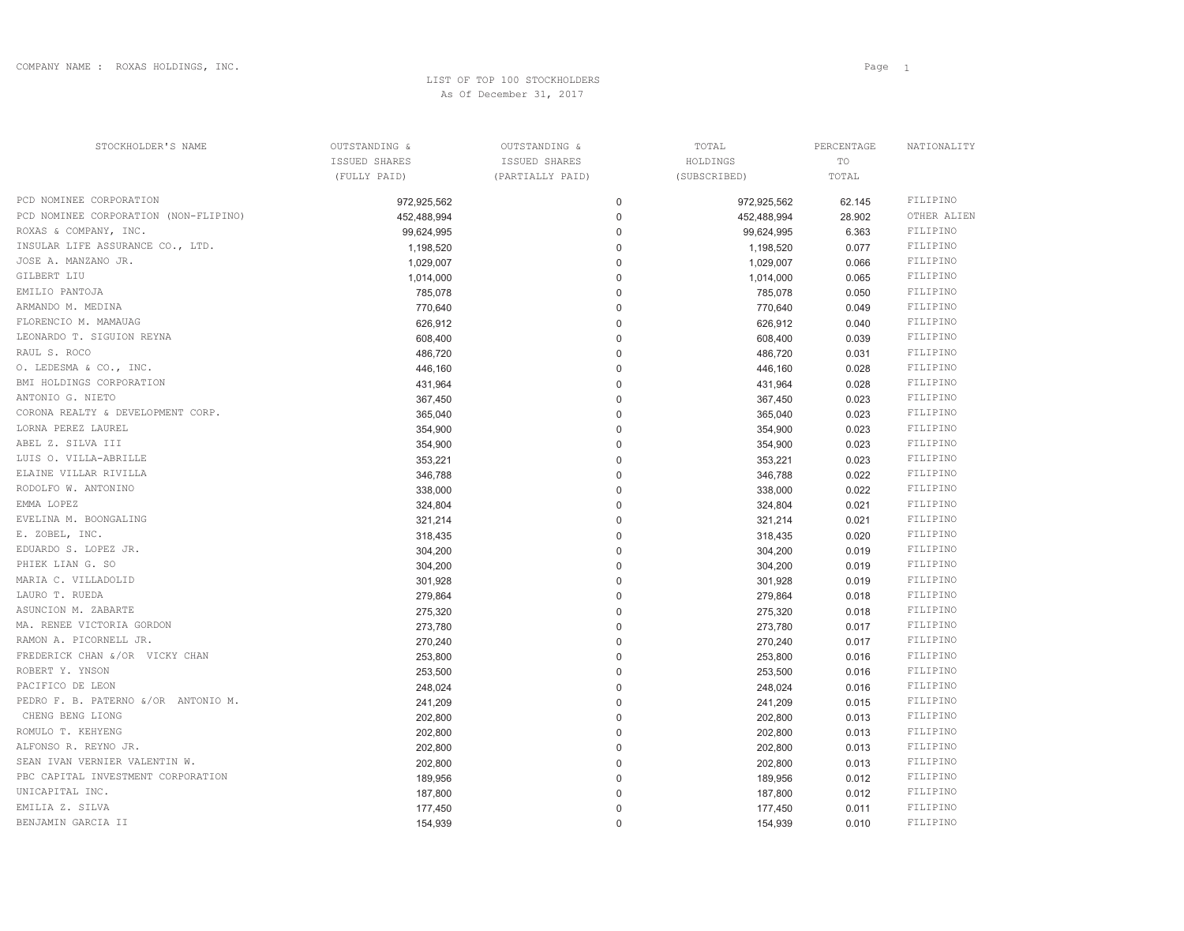## LIST OF TOP 100 STOCKHOLDERSAs Of December 31, 2017

| STOCKHOLDER'S NAME                    | OUTSTANDING & | OUTSTANDING &    | TOTAL        | PERCENTAGE | NATIONALITY |
|---------------------------------------|---------------|------------------|--------------|------------|-------------|
|                                       | ISSUED SHARES | ISSUED SHARES    | HOLDINGS     | TO         |             |
|                                       | (FULLY PAID)  | (PARTIALLY PAID) | (SUBSCRIBED) | TOTAL      |             |
| PCD NOMINEE CORPORATION               | 972,925,562   | 0                | 972,925,562  | 62.145     | FILIPINO    |
| PCD NOMINEE CORPORATION (NON-FLIPINO) | 452,488,994   | 0                | 452,488,994  | 28.902     | OTHER ALIEN |
| ROXAS & COMPANY, INC.                 | 99,624,995    | 0                | 99,624,995   | 6.363      | FILIPINO    |
| INSULAR LIFE ASSURANCE CO., LTD.      | 1,198,520     | 0                | 1,198,520    | 0.077      | FILIPINO    |
| JOSE A. MANZANO JR.                   | 1,029,007     | 0                | 1,029,007    | 0.066      | FILIPINO    |
| GILBERT LIU                           | 1,014,000     | 0                | 1,014,000    | 0.065      | FILIPINO    |
| EMILIO PANTOJA                        | 785,078       | 0                | 785,078      | 0.050      | FILIPINO    |
| ARMANDO M. MEDINA                     | 770,640       | 0                | 770,640      | 0.049      | FILIPINO    |
| FLORENCIO M. MAMAUAG                  | 626,912       | 0                | 626,912      | 0.040      | FILIPINO    |
| LEONARDO T. SIGUION REYNA             | 608,400       | 0                | 608,400      | 0.039      | FILIPINO    |
| RAUL S. ROCO                          | 486,720       | 0                | 486,720      | 0.031      | FILIPINO    |
| O. LEDESMA & CO., INC.                | 446,160       | 0                | 446,160      | 0.028      | FILIPINO    |
| BMI HOLDINGS CORPORATION              | 431,964       | 0                | 431,964      | 0.028      | FILIPINO    |
| ANTONIO G. NIETO                      | 367,450       | 0                | 367,450      | 0.023      | FILIPINO    |
| CORONA REALTY & DEVELOPMENT CORP.     | 365,040       | 0                | 365,040      | 0.023      | FILIPINO    |
| LORNA PEREZ LAUREL                    | 354,900       | 0                | 354,900      | 0.023      | FILIPINO    |
| ABEL Z. SILVA III                     | 354,900       | 0                | 354,900      | 0.023      | FILIPINO    |
| LUIS O. VILLA-ABRILLE                 | 353,221       | 0                | 353,221      | 0.023      | FILIPINO    |
| ELAINE VILLAR RIVILLA                 | 346,788       | 0                | 346,788      | 0.022      | FILIPINO    |
| RODOLFO W. ANTONINO                   | 338,000       | 0                | 338,000      | 0.022      | FILIPINO    |
| EMMA LOPEZ                            | 324,804       | $\Omega$         | 324,804      | 0.021      | FILIPINO    |
| EVELINA M. BOONGALING                 | 321,214       | 0                | 321,214      | 0.021      | FILIPINO    |
| E. ZOBEL, INC.                        | 318,435       | 0                | 318,435      | 0.020      | FILIPINO    |
| EDUARDO S. LOPEZ JR.                  | 304,200       | 0                | 304,200      | 0.019      | FILIPINO    |
| PHIEK LIAN G. SO                      | 304,200       | 0                | 304,200      | 0.019      | FILIPINO    |
| MARIA C. VILLADOLID                   | 301,928       | 0                | 301,928      | 0.019      | FILIPINO    |
| LAURO T. RUEDA                        | 279,864       | 0                | 279,864      | 0.018      | FILIPINO    |
| ASUNCION M. ZABARTE                   | 275,320       |                  | 275,320      | 0.018      | FILIPINO    |
| MA. RENEE VICTORIA GORDON             | 273,780       | $\Omega$         | 273,780      | 0.017      | FILIPINO    |
| RAMON A. PICORNELL JR.                | 270,240       | O                | 270,240      | 0.017      | FILIPINO    |
| FREDERICK CHAN &/OR VICKY CHAN        | 253,800       | $\Omega$         | 253,800      | 0.016      | FILIPINO    |
| ROBERT Y. YNSON                       | 253,500       | 0                | 253,500      | 0.016      | FILIPINO    |
| PACIFICO DE LEON                      | 248,024       | 0                | 248,024      | 0.016      | FILIPINO    |
| PEDRO F. B. PATERNO &/OR ANTONIO M.   | 241,209       | 0                | 241,209      | 0.015      | FILIPINO    |
| CHENG BENG LIONG                      | 202,800       | 0                | 202,800      | 0.013      | FILIPINO    |
| ROMULO T. KEHYENG                     | 202,800       | 0                | 202,800      | 0.013      | FILIPINO    |
| ALFONSO R. REYNO JR.                  | 202,800       | 0                | 202,800      | 0.013      | FILIPINO    |
| SEAN IVAN VERNIER VALENTIN W.         | 202,800       | 0                | 202,800      | 0.013      | FILIPINO    |
| PBC CAPITAL INVESTMENT CORPORATION    | 189,956       | 0                | 189,956      | 0.012      | FILIPINO    |
| UNICAPITAL INC.                       | 187,800       | 0                | 187,800      | 0.012      | FILIPINO    |
| EMILIA Z. SILVA                       |               | 0                |              |            | FILIPINO    |
| BENJAMIN GARCIA II                    | 177,450       |                  | 177,450      | 0.011      | FILIPINO    |
|                                       | 154,939       | 0                | 154,939      | 0.010      |             |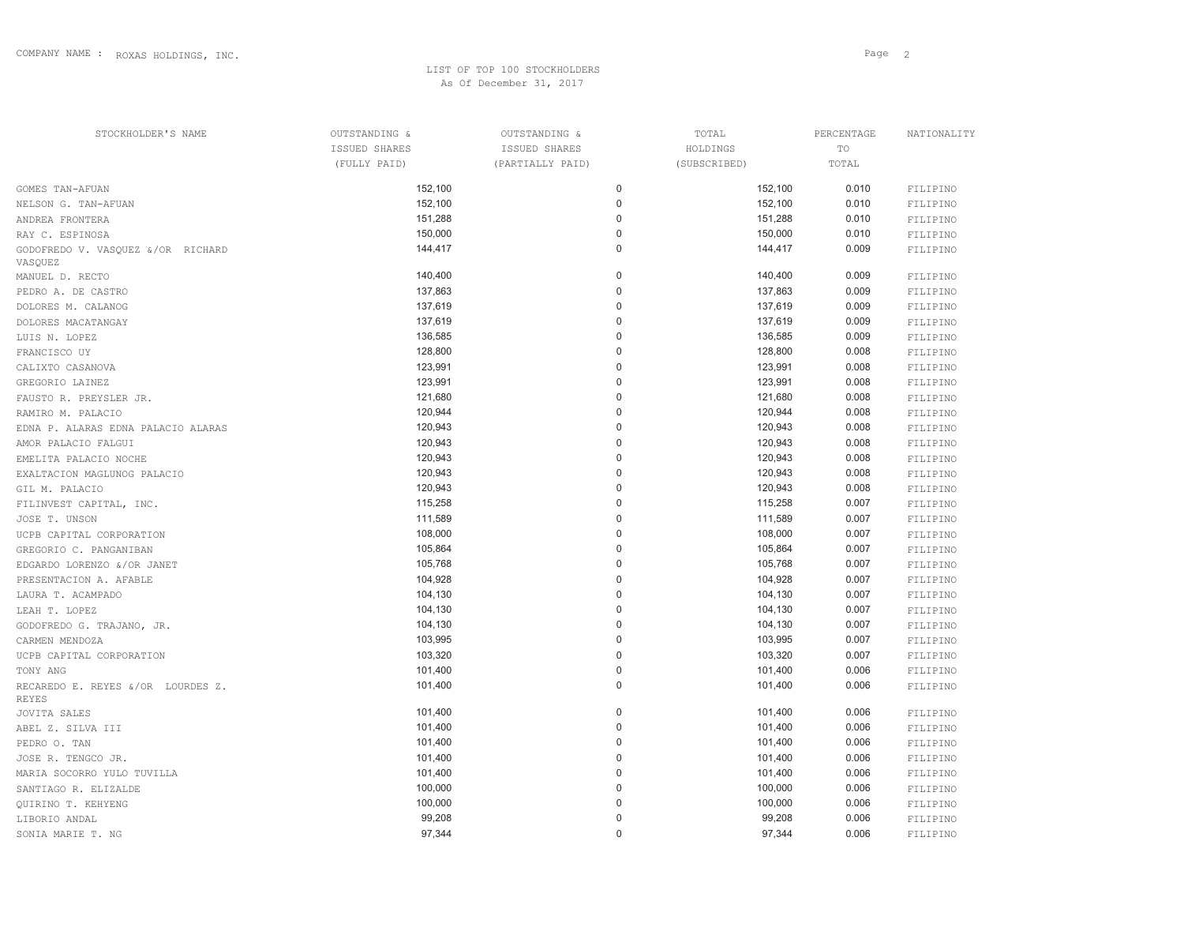## LIST OF TOP 100 STOCKHOLDERSAs Of December 31, 2017

| Page <sub>2</sub> |  |
|-------------------|--|
|                   |  |

| STOCKHOLDER'S NAME                           | OUTSTANDING & | OUTSTANDING &    | TOTAL        | PERCENTAGE | NATIONALITY |
|----------------------------------------------|---------------|------------------|--------------|------------|-------------|
|                                              | ISSUED SHARES | ISSUED SHARES    | HOLDINGS     | TO         |             |
|                                              | (FULLY PAID)  | (PARTIALLY PAID) | (SUBSCRIBED) | TOTAL      |             |
| GOMES TAN-AFUAN                              | 152,100       | 0                | 152,100      | 0.010      | FILIPINO    |
| NELSON G. TAN-AFUAN                          | 152,100       | 0                | 152,100      | 0.010      | FILIPINO    |
| ANDREA FRONTERA                              | 151,288       | 0                | 151,288      | 0.010      | FILIPINO    |
| RAY C. ESPINOSA                              | 150,000       | 0                | 150,000      | 0.010      | FILIPINO    |
| GODOFREDO V. VASQUEZ &/OR RICHARD<br>VASQUEZ | 144,417       | 0                | 144,417      | 0.009      | FILIPINO    |
| MANUEL D. RECTO                              | 140,400       | 0                | 140,400      | 0.009      | FILIPINO    |
| PEDRO A. DE CASTRO                           | 137,863       | 0                | 137,863      | 0.009      | FILIPINO    |
| DOLORES M. CALANOG                           | 137,619       | 0                | 137,619      | 0.009      | FILIPINO    |
| DOLORES MACATANGAY                           | 137,619       | 0                | 137,619      | 0.009      | FILIPINO    |
| LUIS N. LOPEZ                                | 136,585       | 0                | 136,585      | 0.009      | FILIPINO    |
| FRANCISCO UY                                 | 128,800       | 0                | 128,800      | 0.008      | FILIPINO    |
| CALIXTO CASANOVA                             | 123,991       | 0                | 123,991      | 0.008      | FILIPINO    |
| GREGORIO LAINEZ                              | 123,991       | 0                | 123,991      | 0.008      | FILIPINO    |
| FAUSTO R. PREYSLER JR.                       | 121,680       | 0                | 121,680      | 0.008      | FILIPINO    |
| RAMIRO M. PALACIO                            | 120,944       | 0                | 120,944      | 0.008      | FILIPINO    |
| EDNA P. ALARAS EDNA PALACIO ALARAS           | 120,943       | 0                | 120,943      | 0.008      | FILIPINO    |
| AMOR PALACIO FALGUI                          | 120,943       | 0                | 120,943      | 0.008      | FILIPINO    |
| EMELITA PALACIO NOCHE                        | 120,943       | 0                | 120,943      | 0.008      | FILIPINO    |
| EXALTACION MAGLUNOG PALACIO                  | 120,943       | 0                | 120,943      | 0.008      | FILIPINO    |
| GIL M. PALACIO                               | 120,943       | 0                | 120,943      | 0.008      | FILIPINO    |
| FILINVEST CAPITAL, INC.                      | 115,258       | 0                | 115,258      | 0.007      | FILIPINO    |
| JOSE T. UNSON                                | 111,589       | 0                | 111,589      | 0.007      | FILIPINO    |
| UCPB CAPITAL CORPORATION                     | 108,000       | 0                | 108,000      | 0.007      | FILIPINO    |
| GREGORIO C. PANGANIBAN                       | 105,864       | 0                | 105,864      | 0.007      | FILIPINO    |
| EDGARDO LORENZO &/OR JANET                   | 105,768       | 0                | 105,768      | 0.007      | FILIPINO    |
| PRESENTACION A. AFABLE                       | 104,928       | 0                | 104,928      | 0.007      | FILIPINO    |
| LAURA T. ACAMPADO                            | 104,130       | 0                | 104,130      | 0.007      | FILIPINO    |
| LEAH T. LOPEZ                                | 104,130       | 0                | 104,130      | 0.007      | FILIPINO    |
| GODOFREDO G. TRAJANO, JR.                    | 104,130       | 0                | 104,130      | 0.007      | FILIPINO    |
| CARMEN MENDOZA                               | 103,995       | 0                | 103,995      | 0.007      | FILIPINO    |
| UCPB CAPITAL CORPORATION                     | 103,320       | 0                | 103,320      | 0.007      | FILIPINO    |
| TONY ANG                                     | 101,400       | 0                | 101,400      | 0.006      | FILIPINO    |
| RECAREDO E. REYES &/OR LOURDES Z.<br>REYES   | 101,400       | 0                | 101,400      | 0.006      | FILIPINO    |
| JOVITA SALES                                 | 101,400       | 0                | 101,400      | 0.006      | FILIPINO    |
| ABEL Z. SILVA III                            | 101,400       |                  | 101,400      | 0.006      | FILIPINO    |
| PEDRO O. TAN                                 | 101,400       |                  | 101,400      | 0.006      | FILIPINO    |
| JOSE R. TENGCO JR.                           | 101,400       |                  | 101,400      | 0.006      | FILIPINO    |
| MARIA SOCORRO YULO TUVILLA                   | 101,400       |                  | 101,400      | 0.006      | FILIPINO    |
| SANTIAGO R. ELIZALDE                         | 100,000       |                  | 100,000      | 0.006      | FILIPINO    |
| QUIRINO T. KEHYENG                           | 100,000       |                  | 100,000      | 0.006      | FILIPINO    |
| LIBORIO ANDAL                                | 99,208        |                  | 99,208       | 0.006      | FILIPINO    |
| SONIA MARIE T. NG                            | 97,344        | 0                | 97,344       | 0.006      | FILIPINO    |
|                                              |               |                  |              |            |             |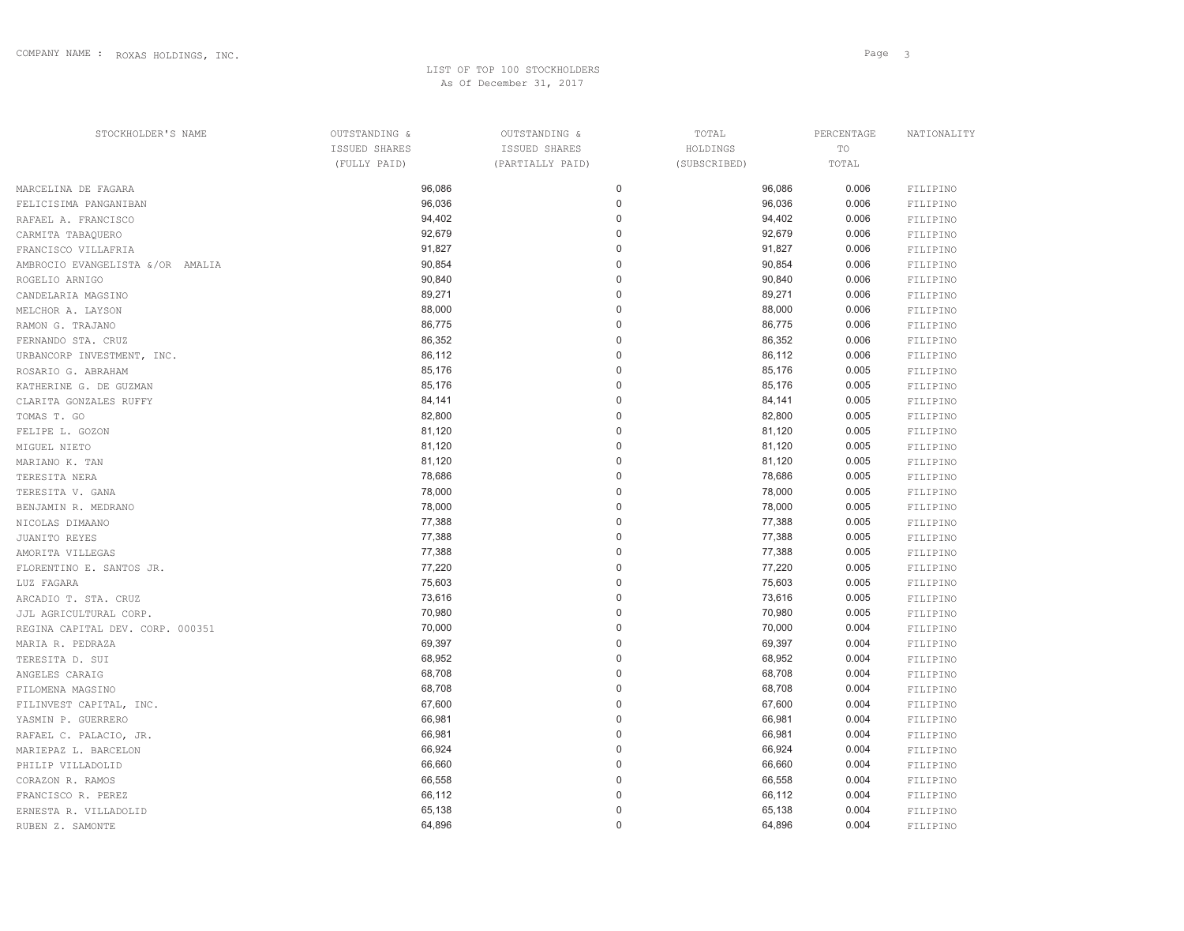| STOCKHOLDER'S NAME               | OUTSTANDING & | OUTSTANDING &    | TOTAL        | PERCENTAGE | NATIONALITY |
|----------------------------------|---------------|------------------|--------------|------------|-------------|
|                                  | ISSUED SHARES | ISSUED SHARES    | HOLDINGS     | TO         |             |
|                                  | (FULLY PAID)  | (PARTIALLY PAID) | (SUBSCRIBED) | TOTAL      |             |
| MARCELINA DE FAGARA              | 96,086        | 0                | 96,086       | 0.006      | FILIPINO    |
| FELICISIMA PANGANIBAN            | 96,036        | 0                | 96,036       | 0.006      | FILIPINO    |
| RAFAEL A. FRANCISCO              | 94,402        | 0                | 94,402       | 0.006      | FILIPINO    |
| CARMITA TABAQUERO                | 92,679        | 0                | 92,679       | 0.006      | FILIPINO    |
| FRANCISCO VILLAFRIA              | 91,827        | O                | 91,827       | 0.006      | FILIPINO    |
| AMBROCIO EVANGELISTA &/OR AMALIA | 90,854        | O                | 90,854       | 0.006      | FILIPINO    |
| ROGELIO ARNIGO                   | 90,840        | $\Omega$         | 90,840       | 0.006      | FILIPINO    |
| CANDELARIA MAGSINO               | 89,271        | O                | 89,271       | 0.006      | FILIPINO    |
| MELCHOR A. LAYSON                | 88,000        | 0                | 88,000       | 0.006      | FILIPINO    |
| RAMON G. TRAJANO                 | 86,775        | 0                | 86,775       | 0.006      | FILIPINO    |
| FERNANDO STA. CRUZ               | 86,352        | $\Omega$         | 86,352       | 0.006      | FILIPINO    |
| URBANCORP INVESTMENT, INC.       | 86,112        | O                | 86,112       | 0.006      | FILIPINO    |
| ROSARIO G. ABRAHAM               | 85,176        | $\Omega$         | 85,176       | 0.005      | FILIPINO    |
| KATHERINE G. DE GUZMAN           | 85,176        | 0                | 85,176       | 0.005      | FILIPINO    |
| CLARITA GONZALES RUFFY           | 84,141        | $\Omega$         | 84,141       | 0.005      | FILIPINO    |
| TOMAS T. GO                      | 82,800        | 0                | 82,800       | 0.005      | FILIPINO    |
| FELIPE L. GOZON                  | 81,120        | 0                | 81,120       | 0.005      | FILIPINO    |
| MIGUEL NIETO                     | 81,120        | 0                | 81,120       | 0.005      | FILIPINO    |
| MARIANO K. TAN                   | 81,120        | O                | 81,120       | 0.005      | FILIPINO    |
| TERESITA NERA                    | 78,686        | $\Omega$         | 78,686       | 0.005      | FILIPINO    |
| TERESITA V. GANA                 | 78,000        | 0                | 78,000       | 0.005      | FILIPINO    |
| BENJAMIN R. MEDRANO              | 78,000        | 0                | 78,000       | 0.005      | FILIPINO    |
| NICOLAS DIMAANO                  | 77,388        | 0                | 77,388       | 0.005      | FILIPINO    |
| JUANITO REYES                    | 77,388        | 0                | 77,388       | 0.005      | FILIPINO    |
| AMORITA VILLEGAS                 | 77,388        | 0                | 77,388       | 0.005      | FILIPINO    |
| FLORENTINO E. SANTOS JR.         | 77,220        | $\Omega$         | 77,220       | 0.005      | FILIPINO    |
| LUZ FAGARA                       | 75,603        | $\Omega$         | 75,603       | 0.005      | FILIPINO    |
| ARCADIO T. STA. CRUZ             | 73,616        | $\Omega$         | 73,616       | 0.005      | FILIPINO    |
| JJL AGRICULTURAL CORP.           | 70,980        | 0                | 70,980       | 0.005      | FILIPINO    |
| REGINA CAPITAL DEV. CORP. 000351 | 70,000        | 0                | 70,000       | 0.004      | FILIPINO    |
| MARIA R. PEDRAZA                 | 69,397        | $\Omega$         | 69,397       | 0.004      | FILIPINO    |
| TERESITA D. SUI                  | 68,952        | 0                | 68,952       | 0.004      | FILIPINO    |
| ANGELES CARAIG                   | 68,708        | 0                | 68,708       | 0.004      | FILIPINO    |
| FILOMENA MAGSINO                 | 68,708        | 0                | 68,708       | 0.004      | FILIPINO    |
| FILINVEST CAPITAL, INC.          | 67,600        | 0                | 67,600       | 0.004      | FILIPINO    |
| YASMIN P. GUERRERO               | 66,981        | 0                | 66,981       | 0.004      | FILIPINO    |
| RAFAEL C. PALACIO, JR.           | 66,981        | 0                | 66,981       | 0.004      | FILIPINO    |
| MARIEPAZ L. BARCELON             | 66,924        | 0                | 66,924       | 0.004      | FILIPINO    |
| PHILIP VILLADOLID                | 66,660        | 0                | 66,660       | 0.004      | FILIPINO    |
| CORAZON R. RAMOS                 | 66,558        | 0                | 66,558       | 0.004      | FILIPINO    |
| FRANCISCO R. PEREZ               | 66,112        | 0                | 66,112       | 0.004      | FILIPINO    |
| ERNESTA R. VILLADOLID            | 65,138        | $\mathbf 0$      | 65,138       | 0.004      | FILIPINO    |
|                                  |               |                  |              |            |             |

RUBEN Z. SAMONTE **64,896** 64,896 64,896 64,896 64,896 64,896 64,896 64,896 64,896 64,896 64,896 64,896 64,896 64,896 64,896 64,896 **64,896** 65 **64**,896 **64**,896 **64**,896 **64**,896 **61** 

FILIPINO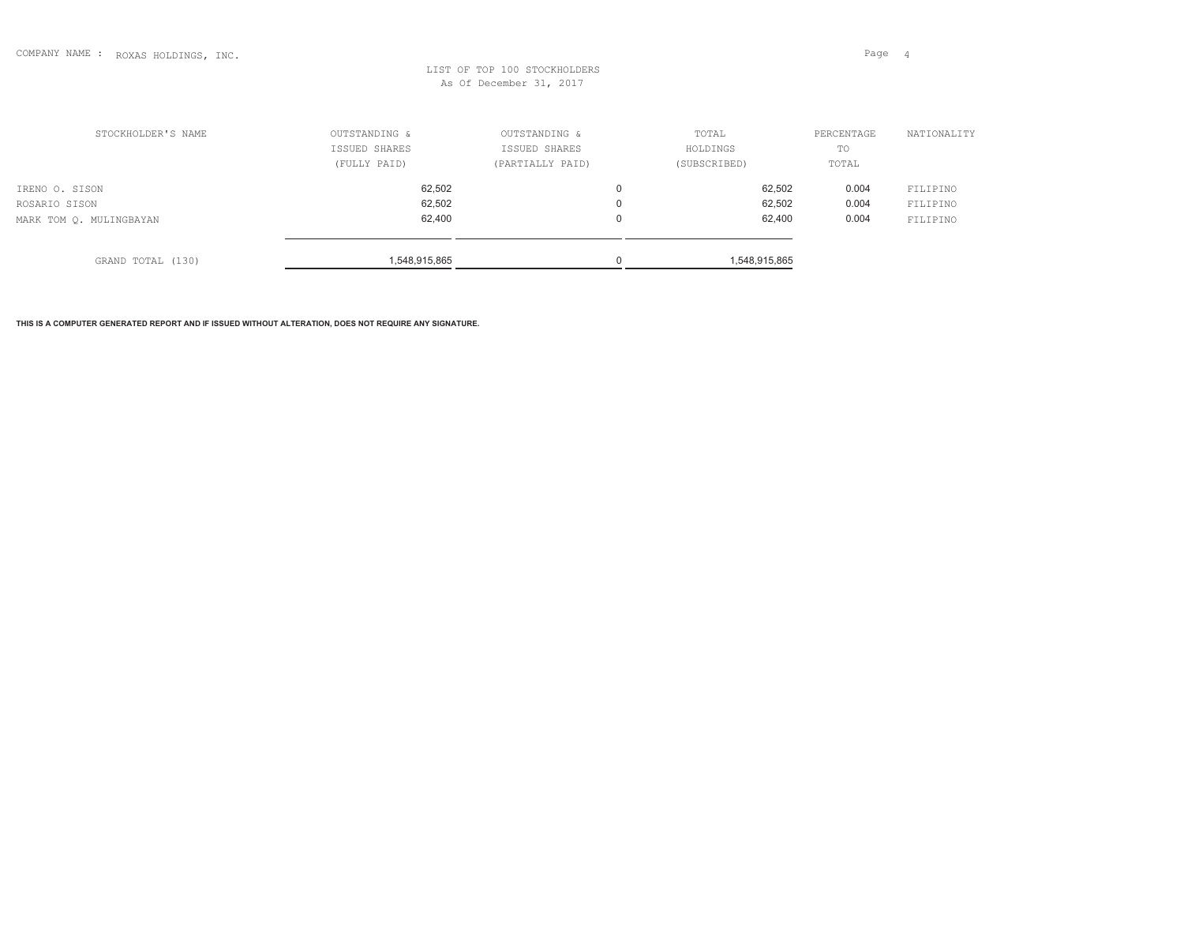expected to the contract of the contract of the contract of the contract of the contract of the contract of the contract of the contract of the contract of the contract of the contract of the contract of the contract of th

## LIST OF TOP 100 STOCKHOLDERSAs Of December 31, 2017

| STOCKHOLDER'S NAME                                         | OUTSTANDING &<br>ISSUED SHARES<br>(FULLY PAID) | OUTSTANDING &<br>ISSUED SHARES<br>(PARTIALLY PAID) | TOTAL<br>HOLDINGS<br>(SUBSCRIBED) | PERCENTAGE<br>TO<br>TOTAL | NATIONALITY                      |
|------------------------------------------------------------|------------------------------------------------|----------------------------------------------------|-----------------------------------|---------------------------|----------------------------------|
| IRENO O. SISON<br>ROSARIO SISON<br>MARK TOM Q. MULINGBAYAN | 62,502<br>62,502<br>62,400                     |                                                    | 62,502<br>62,502<br>62,400        | 0.004<br>0.004<br>0.004   | FILIPINO<br>FILIPINO<br>FILIPINO |
| GRAND TOTAL (130)                                          | 1,548,915,865                                  |                                                    | 1,548,915,865                     |                           |                                  |

**THIS IS A COMPUTER GENERATED REPORT AND IF ISSUED WITHOUT ALTERATION, DOES NOT REQUIRE ANY SIGNATURE.**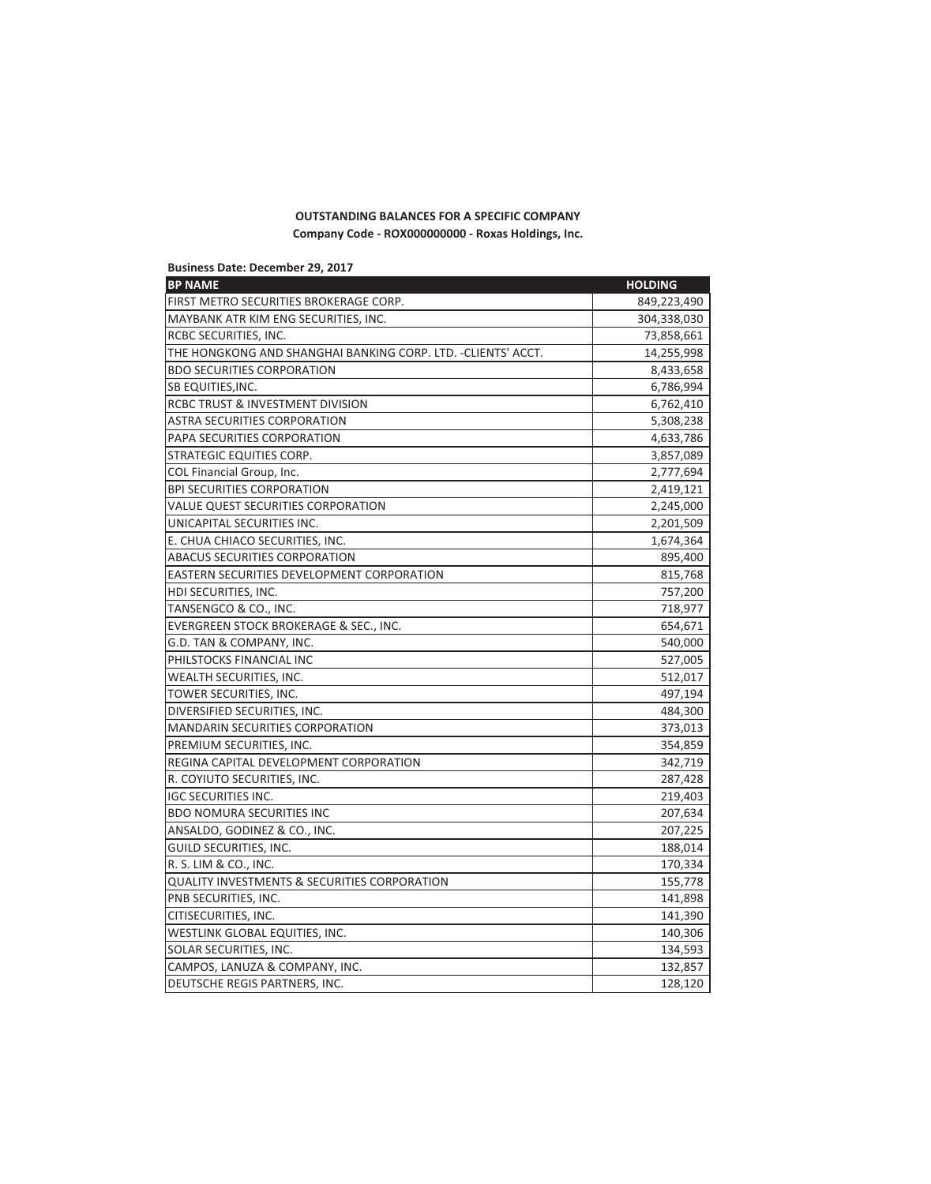## **OUTSTANDING BALANCES FOR A SPECIFIC COMPANY** Company Code - ROX000000000 - Roxas Holdings, Inc.

| <b>Business Date: December 29, 2017</b>                       |                |
|---------------------------------------------------------------|----------------|
| <b>BP NAME</b>                                                | <b>HOLDING</b> |
| FIRST METRO SECURITIES BROKERAGE CORP.                        | 849,223,490    |
| MAYBANK ATR KIM ENG SECURITIES, INC.                          | 304,338,030    |
| RCBC SECURITIES, INC.                                         | 73,858,661     |
| THE HONGKONG AND SHANGHAI BANKING CORP. LTD. - CLIENTS' ACCT. | 14,255,998     |
| <b>BDO SECURITIES CORPORATION</b>                             | 8,433,658      |
| SB EQUITIES, INC.                                             | 6,786,994      |
| RCBC TRUST & INVESTMENT DIVISION                              | 6,762,410      |
| <b>ASTRA SECURITIES CORPORATION</b>                           | 5,308,238      |
| PAPA SECURITIES CORPORATION                                   | 4,633,786      |
| STRATEGIC EQUITIES CORP.                                      | 3,857,089      |
| COL Financial Group, Inc.                                     | 2,777,694      |
| <b>BPI SECURITIES CORPORATION</b>                             | 2,419,121      |
| VALUE QUEST SECURITIES CORPORATION                            | 2,245,000      |
| UNICAPITAL SECURITIES INC.                                    | 2,201,509      |
| E. CHUA CHIACO SECURITIES, INC.                               | 1,674,364      |
| <b>ABACUS SECURITIES CORPORATION</b>                          | 895,400        |
| EASTERN SECURITIES DEVELOPMENT CORPORATION                    | 815,768        |
| HDI SECURITIES, INC.                                          | 757,200        |
| TANSENGCO & CO., INC.                                         | 718,977        |
| EVERGREEN STOCK BROKERAGE & SEC., INC.                        | 654,671        |
| G.D. TAN & COMPANY, INC.                                      | 540,000        |
| PHILSTOCKS FINANCIAL INC                                      | 527,005        |
| WEALTH SECURITIES, INC.                                       | 512,017        |
| TOWER SECURITIES, INC.                                        | 497,194        |
| DIVERSIFIED SECURITIES, INC.                                  | 484,300        |
| <b>MANDARIN SECURITIES CORPORATION</b>                        | 373,013        |
| PREMIUM SECURITIES, INC.                                      | 354,859        |
| REGINA CAPITAL DEVELOPMENT CORPORATION                        | 342,719        |
| R. COYIUTO SECURITIES, INC.                                   | 287,428        |
| <b>IGC SECURITIES INC.</b>                                    | 219,403        |
| <b>BDO NOMURA SECURITIES INC</b>                              | 207,634        |
| ANSALDO, GODINEZ & CO., INC.                                  | 207,225        |
| <b>GUILD SECURITIES, INC.</b>                                 | 188,014        |
| R. S. LIM & CO., INC.                                         | 170,334        |
| <b>QUALITY INVESTMENTS &amp; SECURITIES CORPORATION</b>       | 155,778        |
| PNB SECURITIES, INC.                                          | 141,898        |
| CITISECURITIES, INC.                                          | 141,390        |
| WESTLINK GLOBAL EQUITIES, INC.                                | 140,306        |
| SOLAR SECURITIES, INC.                                        | 134,593        |
| CAMPOS, LANUZA & COMPANY, INC.                                | 132,857        |
| DEUTSCHE REGIS PARTNERS, INC.                                 | 128,120        |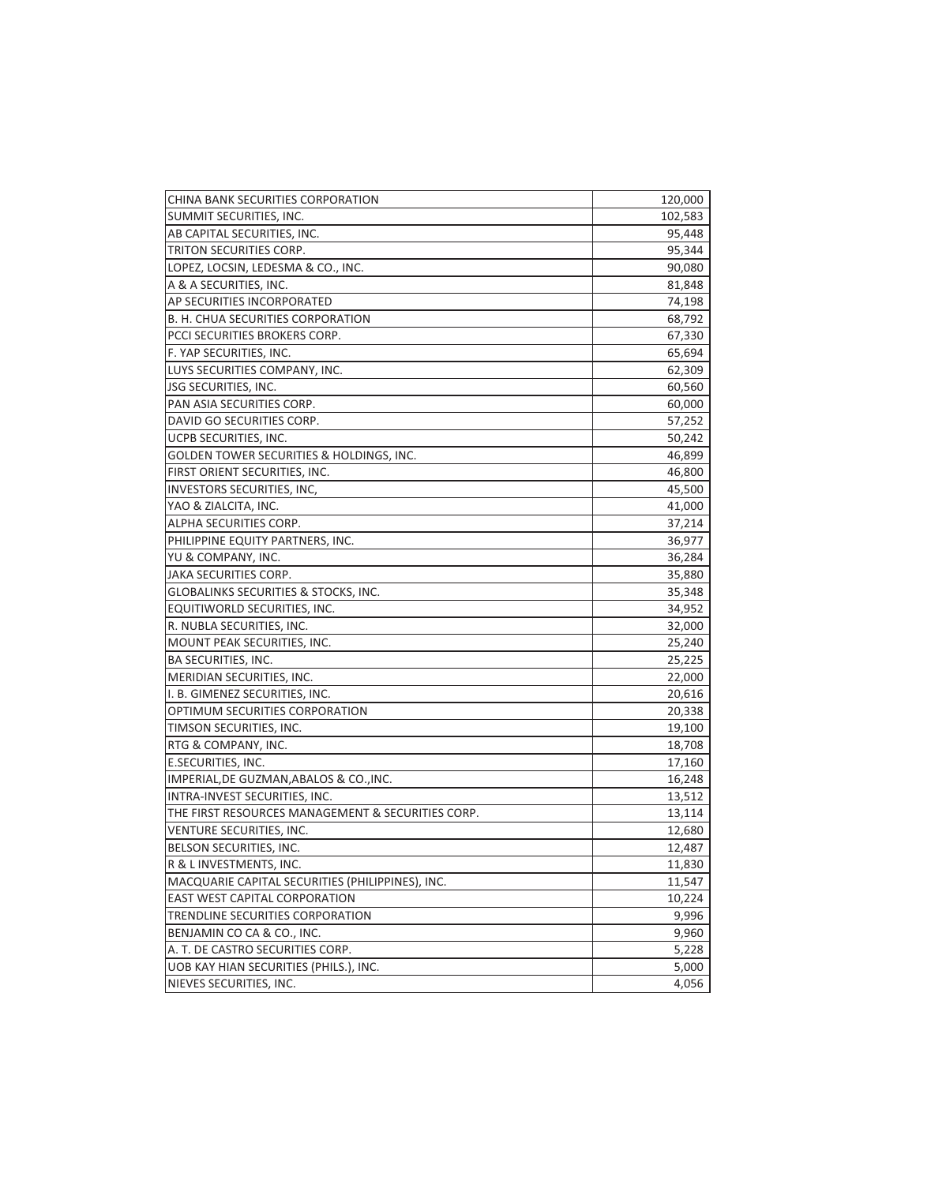| CHINA BANK SECURITIES CORPORATION                 | 120,000 |
|---------------------------------------------------|---------|
| SUMMIT SECURITIES, INC.                           | 102,583 |
| AB CAPITAL SECURITIES, INC.                       | 95,448  |
| TRITON SECURITIES CORP.                           | 95,344  |
| LOPEZ, LOCSIN, LEDESMA & CO., INC.                | 90,080  |
| A & A SECURITIES, INC.                            | 81,848  |
| AP SECURITIES INCORPORATED                        | 74,198  |
| B. H. CHUA SECURITIES CORPORATION                 | 68,792  |
| PCCI SECURITIES BROKERS CORP.                     | 67,330  |
| F. YAP SECURITIES, INC.                           | 65,694  |
| LUYS SECURITIES COMPANY, INC.                     | 62,309  |
| JSG SECURITIES, INC.                              | 60,560  |
| PAN ASIA SECURITIES CORP.                         | 60,000  |
| DAVID GO SECURITIES CORP.                         | 57,252  |
| UCPB SECURITIES, INC.                             | 50,242  |
| GOLDEN TOWER SECURITIES & HOLDINGS, INC.          | 46,899  |
| FIRST ORIENT SECURITIES, INC.                     | 46,800  |
| INVESTORS SECURITIES, INC,                        | 45,500  |
| YAO & ZIALCITA, INC.                              | 41,000  |
| ALPHA SECURITIES CORP.                            | 37,214  |
| PHILIPPINE EQUITY PARTNERS, INC.                  | 36,977  |
| YU & COMPANY, INC.                                | 36,284  |
| JAKA SECURITIES CORP.                             | 35,880  |
| GLOBALINKS SECURITIES & STOCKS, INC.              | 35,348  |
| EQUITIWORLD SECURITIES, INC.                      | 34,952  |
| R. NUBLA SECURITIES, INC.                         | 32,000  |
| MOUNT PEAK SECURITIES, INC.                       | 25,240  |
| BA SECURITIES, INC.                               | 25,225  |
| MERIDIAN SECURITIES, INC.                         | 22,000  |
| I. B. GIMENEZ SECURITIES, INC.                    | 20,616  |
| OPTIMUM SECURITIES CORPORATION                    | 20,338  |
| TIMSON SECURITIES, INC.                           | 19,100  |
| RTG & COMPANY, INC.                               | 18,708  |
| E.SECURITIES, INC.                                | 17,160  |
| IMPERIAL, DE GUZMAN, ABALOS & CO., INC.           | 16,248  |
| INTRA-INVEST SECURITIES, INC.                     | 13,512  |
| THE FIRST RESOURCES MANAGEMENT & SECURITIES CORP. | 13,114  |
| <b>VENTURE SECURITIES, INC.</b>                   | 12,680  |
| BELSON SECURITIES, INC.                           | 12,487  |
| R & L INVESTMENTS, INC.                           | 11,830  |
| MACQUARIE CAPITAL SECURITIES (PHILIPPINES), INC.  | 11,547  |
| EAST WEST CAPITAL CORPORATION                     | 10,224  |
| TRENDLINE SECURITIES CORPORATION                  | 9,996   |
| BENJAMIN CO CA & CO., INC.                        | 9,960   |
| A. T. DE CASTRO SECURITIES CORP.                  | 5,228   |
| UOB KAY HIAN SECURITIES (PHILS.), INC.            | 5,000   |
| NIEVES SECURITIES, INC.                           | 4,056   |